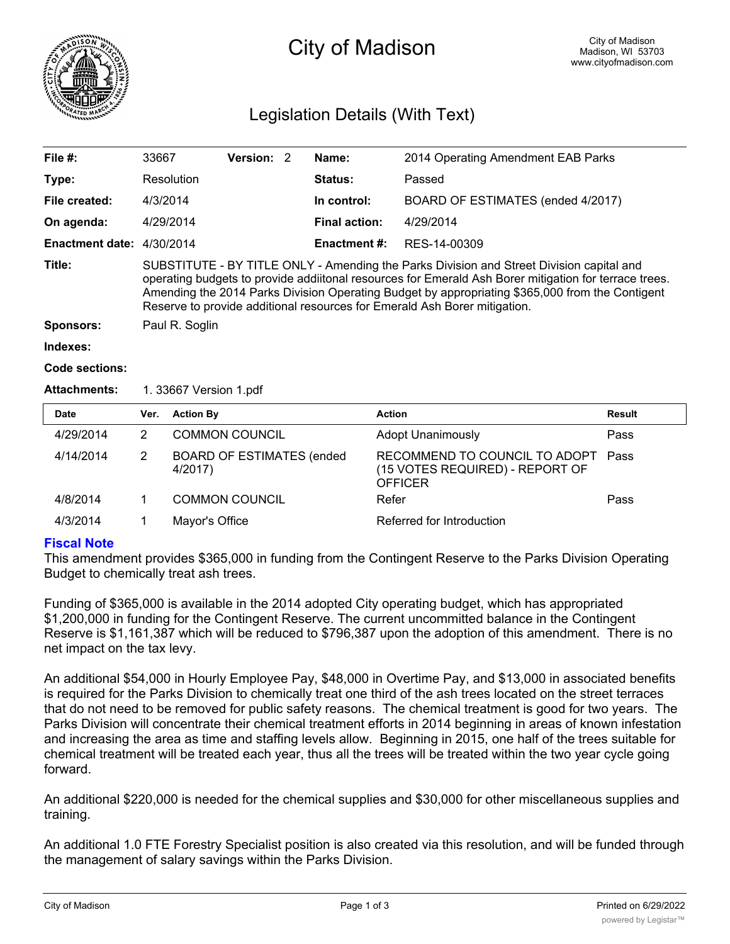

# City of Madison

# Legislation Details (With Text)

| File $#$ :                | 33667                                                                                                                                                                                                                                                                                                                                                                             | Version: 2 |                      | Name:               | 2014 Operating Amendment EAB Parks |  |  |
|---------------------------|-----------------------------------------------------------------------------------------------------------------------------------------------------------------------------------------------------------------------------------------------------------------------------------------------------------------------------------------------------------------------------------|------------|----------------------|---------------------|------------------------------------|--|--|
|                           |                                                                                                                                                                                                                                                                                                                                                                                   |            |                      |                     |                                    |  |  |
| Type:                     | Resolution                                                                                                                                                                                                                                                                                                                                                                        |            |                      | Status:             | Passed                             |  |  |
| File created:             | 4/3/2014                                                                                                                                                                                                                                                                                                                                                                          |            |                      | In control:         | BOARD OF ESTIMATES (ended 4/2017)  |  |  |
| On agenda:                | 4/29/2014                                                                                                                                                                                                                                                                                                                                                                         |            | <b>Final action:</b> | 4/29/2014           |                                    |  |  |
| Enactment date: 4/30/2014 |                                                                                                                                                                                                                                                                                                                                                                                   |            |                      | <b>Enactment #:</b> | RES-14-00309                       |  |  |
| Title:                    | SUBSTITUTE - BY TITLE ONLY - Amending the Parks Division and Street Division capital and<br>operating budgets to provide addiitonal resources for Emerald Ash Borer mitigation for terrace trees.<br>Amending the 2014 Parks Division Operating Budget by appropriating \$365,000 from the Contigent<br>Reserve to provide additional resources for Emerald Ash Borer mitigation. |            |                      |                     |                                    |  |  |
| <b>Sponsors:</b>          | Paul R. Soglin                                                                                                                                                                                                                                                                                                                                                                    |            |                      |                     |                                    |  |  |
| Indexes:                  |                                                                                                                                                                                                                                                                                                                                                                                   |            |                      |                     |                                    |  |  |

```
Code sections:
```
#### **Attachments:** 1. 33667 Version 1.pdf

| <b>Date</b> | Ver. | <b>Action By</b>                             | <b>Action</b>                                                                      | Result |
|-------------|------|----------------------------------------------|------------------------------------------------------------------------------------|--------|
| 4/29/2014   |      | <b>COMMON COUNCIL</b>                        | <b>Adopt Unanimously</b>                                                           | Pass   |
| 4/14/2014   |      | <b>BOARD OF ESTIMATES (ended)</b><br>4/2017) | RECOMMEND TO COUNCIL TO ADOPT<br>(15 VOTES REQUIRED) - REPORT OF<br><b>OFFICER</b> | Pass   |
| 4/8/2014    |      | <b>COMMON COUNCIL</b>                        | Refer                                                                              | Pass   |
| 4/3/2014    |      | Mayor's Office                               | Referred for Introduction                                                          |        |

### **Fiscal Note**

This amendment provides \$365,000 in funding from the Contingent Reserve to the Parks Division Operating Budget to chemically treat ash trees.

Funding of \$365,000 is available in the 2014 adopted City operating budget, which has appropriated \$1,200,000 in funding for the Contingent Reserve. The current uncommitted balance in the Contingent Reserve is \$1,161,387 which will be reduced to \$796,387 upon the adoption of this amendment. There is no net impact on the tax levy.

An additional \$54,000 in Hourly Employee Pay, \$48,000 in Overtime Pay, and \$13,000 in associated benefits is required for the Parks Division to chemically treat one third of the ash trees located on the street terraces that do not need to be removed for public safety reasons. The chemical treatment is good for two years. The Parks Division will concentrate their chemical treatment efforts in 2014 beginning in areas of known infestation and increasing the area as time and staffing levels allow. Beginning in 2015, one half of the trees suitable for chemical treatment will be treated each year, thus all the trees will be treated within the two year cycle going forward.

An additional \$220,000 is needed for the chemical supplies and \$30,000 for other miscellaneous supplies and training.

An additional 1.0 FTE Forestry Specialist position is also created via this resolution, and will be funded through the management of salary savings within the Parks Division.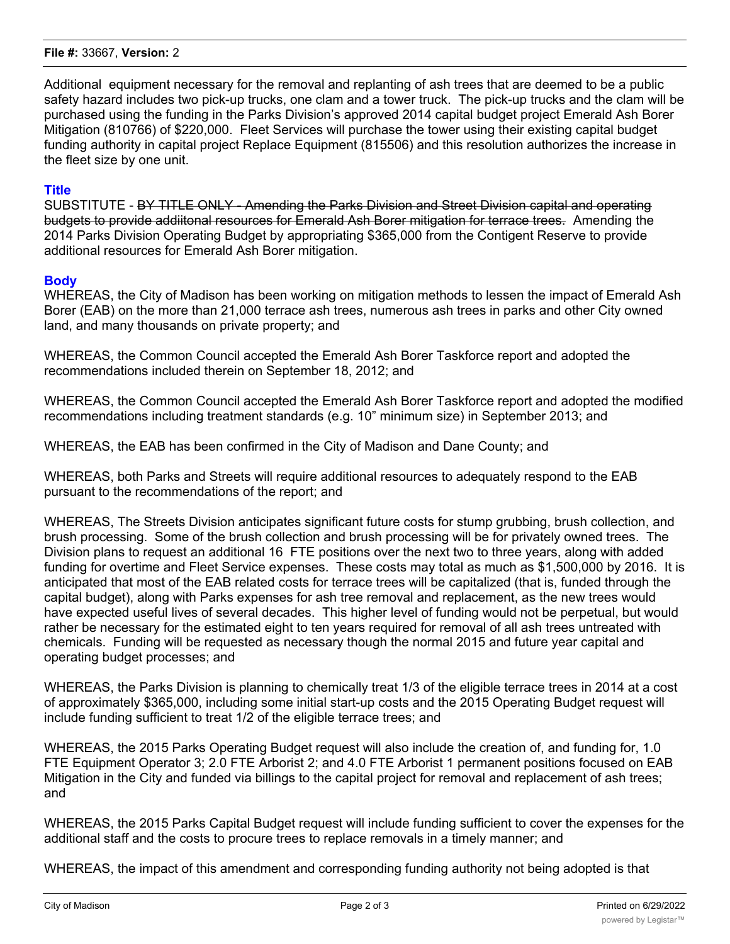#### **File #:** 33667, **Version:** 2

Additional equipment necessary for the removal and replanting of ash trees that are deemed to be a public safety hazard includes two pick-up trucks, one clam and a tower truck. The pick-up trucks and the clam will be purchased using the funding in the Parks Division's approved 2014 capital budget project Emerald Ash Borer Mitigation (810766) of \$220,000. Fleet Services will purchase the tower using their existing capital budget funding authority in capital project Replace Equipment (815506) and this resolution authorizes the increase in the fleet size by one unit.

# **Title**

SUBSTITUTE - BY TITLE ONLY - Amending the Parks Division and Street Division capital and operating budgets to provide addiitonal resources for Emerald Ash Borer mitigation for terrace trees. Amending the 2014 Parks Division Operating Budget by appropriating \$365,000 from the Contigent Reserve to provide additional resources for Emerald Ash Borer mitigation.

# **Body**

WHEREAS, the City of Madison has been working on mitigation methods to lessen the impact of Emerald Ash Borer (EAB) on the more than 21,000 terrace ash trees, numerous ash trees in parks and other City owned land, and many thousands on private property; and

WHEREAS, the Common Council accepted the Emerald Ash Borer Taskforce report and adopted the recommendations included therein on September 18, 2012; and

WHEREAS, the Common Council accepted the Emerald Ash Borer Taskforce report and adopted the modified recommendations including treatment standards (e.g. 10" minimum size) in September 2013; and

WHEREAS, the EAB has been confirmed in the City of Madison and Dane County; and

WHEREAS, both Parks and Streets will require additional resources to adequately respond to the EAB pursuant to the recommendations of the report; and

WHEREAS, The Streets Division anticipates significant future costs for stump grubbing, brush collection, and brush processing. Some of the brush collection and brush processing will be for privately owned trees. The Division plans to request an additional 16 FTE positions over the next two to three years, along with added funding for overtime and Fleet Service expenses. These costs may total as much as \$1,500,000 by 2016. It is anticipated that most of the EAB related costs for terrace trees will be capitalized (that is, funded through the capital budget), along with Parks expenses for ash tree removal and replacement, as the new trees would have expected useful lives of several decades. This higher level of funding would not be perpetual, but would rather be necessary for the estimated eight to ten years required for removal of all ash trees untreated with chemicals. Funding will be requested as necessary though the normal 2015 and future year capital and operating budget processes; and

WHEREAS, the Parks Division is planning to chemically treat 1/3 of the eligible terrace trees in 2014 at a cost of approximately \$365,000, including some initial start-up costs and the 2015 Operating Budget request will include funding sufficient to treat 1/2 of the eligible terrace trees; and

WHEREAS, the 2015 Parks Operating Budget request will also include the creation of, and funding for, 1.0 FTE Equipment Operator 3; 2.0 FTE Arborist 2; and 4.0 FTE Arborist 1 permanent positions focused on EAB Mitigation in the City and funded via billings to the capital project for removal and replacement of ash trees; and

WHEREAS, the 2015 Parks Capital Budget request will include funding sufficient to cover the expenses for the additional staff and the costs to procure trees to replace removals in a timely manner; and

WHEREAS, the impact of this amendment and corresponding funding authority not being adopted is that